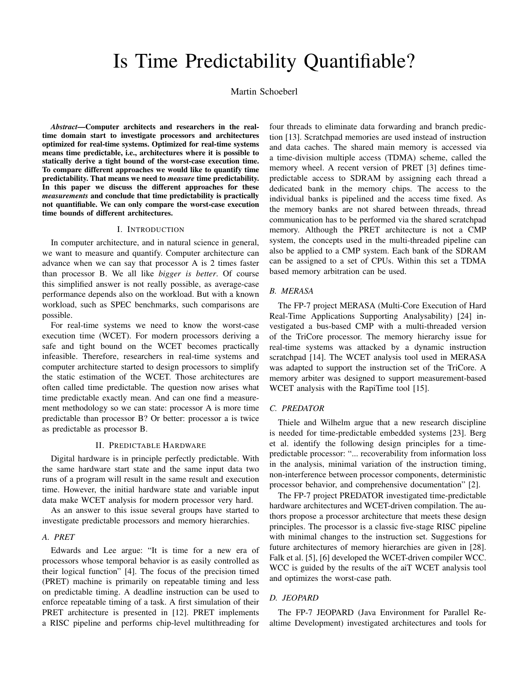# Is Time Predictability Quantifiable?

# Martin Schoeberl

*Abstract*—Computer architects and researchers in the realtime domain start to investigate processors and architectures optimized for real-time systems. Optimized for real-time systems means time predictable, i.e., architectures where it is possible to statically derive a tight bound of the worst-case execution time. To compare different approaches we would like to quantify time predictability. That means we need to *measure* time predictability. In this paper we discuss the different approaches for these *measurements* and conclude that time predictability is practically not quantifiable. We can only compare the worst-case execution time bounds of different architectures.

#### I. INTRODUCTION

In computer architecture, and in natural science in general, we want to measure and quantify. Computer architecture can advance when we can say that processor A is 2 times faster than processor B. We all like *bigger is better*. Of course this simplified answer is not really possible, as average-case performance depends also on the workload. But with a known workload, such as SPEC benchmarks, such comparisons are possible.

For real-time systems we need to know the worst-case execution time (WCET). For modern processors deriving a safe and tight bound on the WCET becomes practically infeasible. Therefore, researchers in real-time systems and computer architecture started to design processors to simplify the static estimation of the WCET. Those architectures are often called time predictable. The question now arises what time predictable exactly mean. And can one find a measurement methodology so we can state: processor A is more time predictable than processor B? Or better: processor a is twice as predictable as processor B.

#### II. PREDICTABLE HARDWARE

Digital hardware is in principle perfectly predictable. With the same hardware start state and the same input data two runs of a program will result in the same result and execution time. However, the initial hardware state and variable input data make WCET analysis for modern processor very hard.

As an answer to this issue several groups have started to investigate predictable processors and memory hierarchies.

# *A. PRET*

Edwards and Lee argue: "It is time for a new era of processors whose temporal behavior is as easily controlled as their logical function" [4]. The focus of the precision timed (PRET) machine is primarily on repeatable timing and less on predictable timing. A deadline instruction can be used to enforce repeatable timing of a task. A first simulation of their PRET architecture is presented in [12]. PRET implements a RISC pipeline and performs chip-level multithreading for four threads to eliminate data forwarding and branch prediction [13]. Scratchpad memories are used instead of instruction and data caches. The shared main memory is accessed via a time-division multiple access (TDMA) scheme, called the memory wheel. A recent version of PRET [3] defines timepredictable access to SDRAM by assigning each thread a dedicated bank in the memory chips. The access to the individual banks is pipelined and the access time fixed. As the memory banks are not shared between threads, thread communication has to be performed via the shared scratchpad memory. Although the PRET architecture is not a CMP system, the concepts used in the multi-threaded pipeline can also be applied to a CMP system. Each bank of the SDRAM can be assigned to a set of CPUs. Within this set a TDMA based memory arbitration can be used.

# *B. MERASA*

The FP-7 project MERASA (Multi-Core Execution of Hard Real-Time Applications Supporting Analysability) [24] investigated a bus-based CMP with a multi-threaded version of the TriCore processor. The memory hierarchy issue for real-time systems was attacked by a dynamic instruction scratchpad [14]. The WCET analysis tool used in MERASA was adapted to support the instruction set of the TriCore. A memory arbiter was designed to support measurement-based WCET analysis with the RapiTime tool [15].

# *C. PREDATOR*

Thiele and Wilhelm argue that a new research discipline is needed for time-predictable embedded systems [23]. Berg et al. identify the following design principles for a timepredictable processor: "... recoverability from information loss in the analysis, minimal variation of the instruction timing, non-interference between processor components, deterministic processor behavior, and comprehensive documentation" [2].

The FP-7 project PREDATOR investigated time-predictable hardware architectures and WCET-driven compilation. The authors propose a processor architecture that meets these design principles. The processor is a classic five-stage RISC pipeline with minimal changes to the instruction set. Suggestions for future architectures of memory hierarchies are given in [28]. Falk et al. [5], [6] developed the WCET-driven compiler WCC. WCC is guided by the results of the aiT WCET analysis tool and optimizes the worst-case path.

# *D. JEOPARD*

The FP-7 JEOPARD (Java Environment for Parallel Realtime Development) investigated architectures and tools for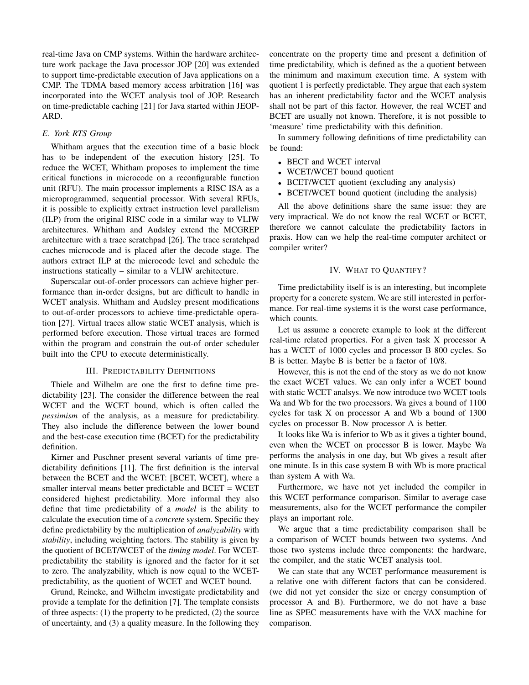real-time Java on CMP systems. Within the hardware architecture work package the Java processor JOP [20] was extended to support time-predictable execution of Java applications on a CMP. The TDMA based memory access arbitration [16] was incorporated into the WCET analysis tool of JOP. Research on time-predictable caching [21] for Java started within JEOP-ARD.

# *E. York RTS Group*

Whitham argues that the execution time of a basic block has to be independent of the execution history [25]. To reduce the WCET, Whitham proposes to implement the time critical functions in microcode on a reconfigurable function unit (RFU). The main processor implements a RISC ISA as a microprogrammed, sequential processor. With several RFUs, it is possible to explicitly extract instruction level parallelism (ILP) from the original RISC code in a similar way to VLIW architectures. Whitham and Audsley extend the MCGREP architecture with a trace scratchpad [26]. The trace scratchpad caches microcode and is placed after the decode stage. The authors extract ILP at the microcode level and schedule the instructions statically – similar to a VLIW architecture.

Superscalar out-of-order processors can achieve higher performance than in-order designs, but are difficult to handle in WCET analysis. Whitham and Audsley present modifications to out-of-order processors to achieve time-predictable operation [27]. Virtual traces allow static WCET analysis, which is performed before execution. Those virtual traces are formed within the program and constrain the out-of order scheduler built into the CPU to execute deterministically.

# III. PREDICTABILITY DEFINITIONS

Thiele and Wilhelm are one the first to define time predictability [23]. The consider the difference between the real WCET and the WCET bound, which is often called the *pessimism* of the analysis, as a measure for predictability. They also include the difference between the lower bound and the best-case execution time (BCET) for the predictability definition.

Kirner and Puschner present several variants of time predictability definitions [11]. The first definition is the interval between the BCET and the WCET: [BCET, WCET], where a smaller interval means better predictable and BCET = WCET considered highest predictability. More informal they also define that time predictability of a *model* is the ability to calculate the execution time of a *concrete* system. Specific they define predictability by the multiplication of *analyzability* with *stability*, including weighting factors. The stability is given by the quotient of BCET/WCET of the *timing model*. For WCETpredictability the stability is ignored and the factor for it set to zero. The analyzability, which is now equal to the WCETpredictability, as the quotient of WCET and WCET bound.

Grund, Reineke, and Wilhelm investigate predictability and provide a template for the definition [7]. The template consists of three aspects: (1) the property to be predicted, (2) the source of uncertainty, and (3) a quality measure. In the following they concentrate on the property time and present a definition of time predictability, which is defined as the a quotient between the minimum and maximum execution time. A system with quotient 1 is perfectly predictable. They argue that each system has an inherent predictability factor and the WCET analysis shall not be part of this factor. However, the real WCET and BCET are usually not known. Therefore, it is not possible to 'measure' time predictability with this definition.

In summery following definitions of time predictability can be found:

- BECT and WCET interval
- WCET/WCET bound quotient
- BCET/WCET quotient (excluding any analysis)
- BCET/WCET bound quotient (including the analysis)

All the above definitions share the same issue: they are very impractical. We do not know the real WCET or BCET, therefore we cannot calculate the predictability factors in praxis. How can we help the real-time computer architect or compiler writer?

# IV. WHAT TO QUANTIFY?

Time predictability itself is is an interesting, but incomplete property for a concrete system. We are still interested in performance. For real-time systems it is the worst case performance, which counts.

Let us assume a concrete example to look at the different real-time related properties. For a given task X processor A has a WCET of 1000 cycles and processor B 800 cycles. So B is better. Maybe B is better be a factor of 10/8.

However, this is not the end of the story as we do not know the exact WCET values. We can only infer a WCET bound with static WCET analsys. We now introduce two WCET tools Wa and Wb for the two processors. Wa gives a bound of 1100 cycles for task X on processor A and Wb a bound of 1300 cycles on processor B. Now processor A is better.

It looks like Wa is inferior to Wb as it gives a tighter bound, even when the WCET on processor B is lower. Maybe Wa performs the analysis in one day, but Wb gives a result after one minute. Is in this case system B with Wb is more practical than system A with Wa.

Furthermore, we have not yet included the compiler in this WCET performance comparison. Similar to average case measurements, also for the WCET performance the compiler plays an important role.

We argue that a time predictability comparison shall be a comparison of WCET bounds between two systems. And those two systems include three components: the hardware, the compiler, and the static WCET analysis tool.

We can state that any WCET performance measurement is a relative one with different factors that can be considered. (we did not yet consider the size or energy consumption of processor A and B). Furthermore, we do not have a base line as SPEC measurements have with the VAX machine for comparison.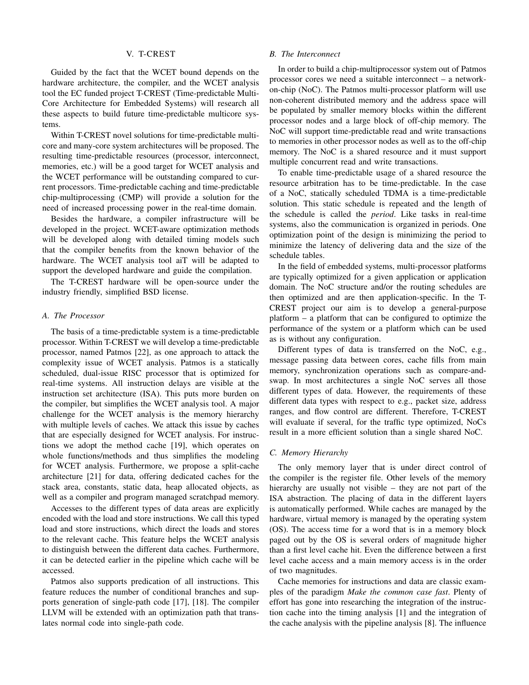### V. T-CREST

Guided by the fact that the WCET bound depends on the hardware architecture, the compiler, and the WCET analysis tool the EC funded project T-CREST (Time-predictable Multi-Core Architecture for Embedded Systems) will research all these aspects to build future time-predictable multicore systems.

Within T-CREST novel solutions for time-predictable multicore and many-core system architectures will be proposed. The resulting time-predictable resources (processor, interconnect, memories, etc.) will be a good target for WCET analysis and the WCET performance will be outstanding compared to current processors. Time-predictable caching and time-predictable chip-multiprocessing (CMP) will provide a solution for the need of increased processing power in the real-time domain.

Besides the hardware, a compiler infrastructure will be developed in the project. WCET-aware optimization methods will be developed along with detailed timing models such that the compiler benefits from the known behavior of the hardware. The WCET analysis tool aiT will be adapted to support the developed hardware and guide the compilation.

The T-CREST hardware will be open-source under the industry friendly, simplified BSD license.

#### *A. The Processor*

The basis of a time-predictable system is a time-predictable processor. Within T-CREST we will develop a time-predictable processor, named Patmos [22], as one approach to attack the complexity issue of WCET analysis. Patmos is a statically scheduled, dual-issue RISC processor that is optimized for real-time systems. All instruction delays are visible at the instruction set architecture (ISA). This puts more burden on the compiler, but simplifies the WCET analysis tool. A major challenge for the WCET analysis is the memory hierarchy with multiple levels of caches. We attack this issue by caches that are especially designed for WCET analysis. For instructions we adopt the method cache [19], which operates on whole functions/methods and thus simplifies the modeling for WCET analysis. Furthermore, we propose a split-cache architecture [21] for data, offering dedicated caches for the stack area, constants, static data, heap allocated objects, as well as a compiler and program managed scratchpad memory.

Accesses to the different types of data areas are explicitly encoded with the load and store instructions. We call this typed load and store instructions, which direct the loads and stores to the relevant cache. This feature helps the WCET analysis to distinguish between the different data caches. Furthermore, it can be detected earlier in the pipeline which cache will be accessed.

Patmos also supports predication of all instructions. This feature reduces the number of conditional branches and supports generation of single-path code [17], [18]. The compiler LLVM will be extended with an optimization path that translates normal code into single-path code.

#### *B. The Interconnect*

In order to build a chip-multiprocessor system out of Patmos processor cores we need a suitable interconnect – a networkon-chip (NoC). The Patmos multi-processor platform will use non-coherent distributed memory and the address space will be populated by smaller memory blocks within the different processor nodes and a large block of off-chip memory. The NoC will support time-predictable read and write transactions to memories in other processor nodes as well as to the off-chip memory. The NoC is a shared resource and it must support multiple concurrent read and write transactions.

To enable time-predictable usage of a shared resource the resource arbitration has to be time-predictable. In the case of a NoC, statically scheduled TDMA is a time-predictable solution. This static schedule is repeated and the length of the schedule is called the *period*. Like tasks in real-time systems, also the communication is organized in periods. One optimization point of the design is minimizing the period to minimize the latency of delivering data and the size of the schedule tables.

In the field of embedded systems, multi-processor platforms are typically optimized for a given application or application domain. The NoC structure and/or the routing schedules are then optimized and are then application-specific. In the T-CREST project our aim is to develop a general-purpose platform – a platform that can be configured to optimize the performance of the system or a platform which can be used as is without any configuration.

Different types of data is transferred on the NoC, e.g., message passing data between cores, cache fills from main memory, synchronization operations such as compare-andswap. In most architectures a single NoC serves all those different types of data. However, the requirements of these different data types with respect to e.g., packet size, address ranges, and flow control are different. Therefore, T-CREST will evaluate if several, for the traffic type optimized, NoCs result in a more efficient solution than a single shared NoC.

#### *C. Memory Hierarchy*

The only memory layer that is under direct control of the compiler is the register file. Other levels of the memory hierarchy are usually not visible – they are not part of the ISA abstraction. The placing of data in the different layers is automatically performed. While caches are managed by the hardware, virtual memory is managed by the operating system (OS). The access time for a word that is in a memory block paged out by the OS is several orders of magnitude higher than a first level cache hit. Even the difference between a first level cache access and a main memory access is in the order of two magnitudes.

Cache memories for instructions and data are classic examples of the paradigm *Make the common case fast*. Plenty of effort has gone into researching the integration of the instruction cache into the timing analysis [1] and the integration of the cache analysis with the pipeline analysis [8]. The influence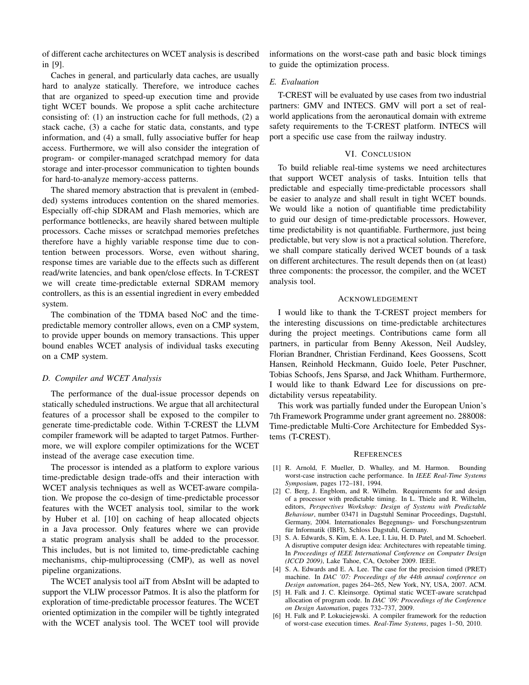of different cache architectures on WCET analysis is described in [9].

Caches in general, and particularly data caches, are usually hard to analyze statically. Therefore, we introduce caches that are organized to speed-up execution time and provide tight WCET bounds. We propose a split cache architecture consisting of: (1) an instruction cache for full methods, (2) a stack cache, (3) a cache for static data, constants, and type information, and (4) a small, fully associative buffer for heap access. Furthermore, we will also consider the integration of program- or compiler-managed scratchpad memory for data storage and inter-processor communication to tighten bounds for hard-to-analyze memory-access patterns.

The shared memory abstraction that is prevalent in (embedded) systems introduces contention on the shared memories. Especially off-chip SDRAM and Flash memories, which are performance bottlenecks, are heavily shared between multiple processors. Cache misses or scratchpad memories prefetches therefore have a highly variable response time due to contention between processors. Worse, even without sharing, response times are variable due to the effects such as different read/write latencies, and bank open/close effects. In T-CREST we will create time-predictable external SDRAM memory controllers, as this is an essential ingredient in every embedded system.

The combination of the TDMA based NoC and the timepredictable memory controller allows, even on a CMP system, to provide upper bounds on memory transactions. This upper bound enables WCET analysis of individual tasks executing on a CMP system.

#### *D. Compiler and WCET Analysis*

The performance of the dual-issue processor depends on statically scheduled instructions. We argue that all architectural features of a processor shall be exposed to the compiler to generate time-predictable code. Within T-CREST the LLVM compiler framework will be adapted to target Patmos. Furthermore, we will explore compiler optimizations for the WCET instead of the average case execution time.

The processor is intended as a platform to explore various time-predictable design trade-offs and their interaction with WCET analysis techniques as well as WCET-aware compilation. We propose the co-design of time-predictable processor features with the WCET analysis tool, similar to the work by Huber et al. [10] on caching of heap allocated objects in a Java processor. Only features where we can provide a static program analysis shall be added to the processor. This includes, but is not limited to, time-predictable caching mechanisms, chip-multiprocessing (CMP), as well as novel pipeline organizations.

The WCET analysis tool aiT from AbsInt will be adapted to support the VLIW processor Patmos. It is also the platform for exploration of time-predictable processor features. The WCET oriented optimization in the compiler will be tightly integrated with the WCET analysis tool. The WCET tool will provide

informations on the worst-case path and basic block timings to guide the optimization process.

# *E. Evaluation*

T-CREST will be evaluated by use cases from two industrial partners: GMV and INTECS. GMV will port a set of realworld applications from the aeronautical domain with extreme safety requirements to the T-CREST platform. INTECS will port a specific use case from the railway industry.

#### VI. CONCLUSION

To build reliable real-time systems we need architectures that support WCET analysis of tasks. Intuition tells that predictable and especially time-predictable processors shall be easier to analyze and shall result in tight WCET bounds. We would like a notion of quantifiable time predictability to guid our design of time-predictable processors. However, time predictability is not quantifiable. Furthermore, just being predictable, but very slow is not a practical solution. Therefore, we shall compare statically derived WCET bounds of a task on different architectures. The result depends then on (at least) three components: the processor, the compiler, and the WCET analysis tool.

#### ACKNOWLEDGEMENT

I would like to thank the T-CREST project members for the interesting discussions on time-predictable architectures during the project meetings. Contributions came form all partners, in particular from Benny Akesson, Neil Audsley, Florian Brandner, Christian Ferdinand, Kees Goossens, Scott Hansen, Reinhold Heckmann, Guido Ioele, Peter Puschner, Tobias Schoofs, Jens Sparsø, and Jack Whitham. Furthermore, I would like to thank Edward Lee for discussions on predictability versus repeatability.

This work was partially funded under the European Union's 7th Framework Programme under grant agreement no. 288008: Time-predictable Multi-Core Architecture for Embedded Systems (T-CREST).

#### **REFERENCES**

- [1] R. Arnold, F. Mueller, D. Whalley, and M. Harmon. Bounding worst-case instruction cache performance. In *IEEE Real-Time Systems Symposium*, pages 172–181, 1994.
- [2] C. Berg, J. Engblom, and R. Wilhelm. Requirements for and design of a processor with predictable timing. In L. Thiele and R. Wilhelm, editors, *Perspectives Workshop: Design of Systems with Predictable Behaviour*, number 03471 in Dagstuhl Seminar Proceedings, Dagstuhl, Germany, 2004. Internationales Begegnungs- und Forschungszentrum für Informatik (IBFI), Schloss Dagstuhl, Germany.
- [3] S. A. Edwards, S. Kim, E. A. Lee, I. Liu, H. D. Patel, and M. Schoeberl. A disruptive computer design idea: Architectures with repeatable timing. In *Proceedings of IEEE International Conference on Computer Design (ICCD 2009)*, Lake Tahoe, CA, October 2009. IEEE.
- [4] S. A. Edwards and E. A. Lee. The case for the precision timed (PRET) machine. In *DAC '07: Proceedings of the 44th annual conference on Design automation*, pages 264–265, New York, NY, USA, 2007. ACM.
- [5] H. Falk and J. C. Kleinsorge. Optimal static WCET-aware scratchpad allocation of program code. In *DAC '09: Proceedings of the Conference on Design Automation*, pages 732–737, 2009.
- [6] H. Falk and P. Lokuciejewski. A compiler framework for the reduction of worst-case execution times. *Real-Time Systems*, pages 1–50, 2010.